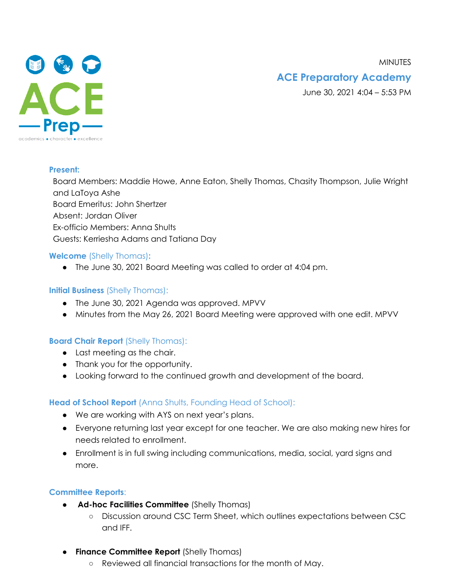**MINUTES** 



## **ACE Preparatory Academy**

June 30, 2021 4:04 – 5:53 PM

#### **Present:**

Board Members: Maddie Howe, Anne Eaton, Shelly Thomas, Chasity Thompson, Julie Wright and LaToya Ashe Board Emeritus: John Shertzer Absent: Jordan Oliver Ex-officio Members: Anna Shults Guests: Kerriesha Adams and Tatiana Day

### **Welcome** (Shelly Thomas)**:**

● The June 30, 2021 Board Meeting was called to order at 4:04 pm.

### **Initial Business** (Shelly Thomas):

- The June 30, 2021 Agenda was approved. MPVV
- Minutes from the May 26, 2021 Board Meeting were approved with one edit. MPVV

### **Board Chair Report** (Shelly Thomas):

- Last meeting as the chair.
- Thank you for the opportunity.
- Looking forward to the continued growth and development of the board.

### **Head of School Report** (Anna Shults, Founding Head of School):

- We are working with AYS on next year's plans.
- Everyone returning last year except for one teacher. We are also making new hires for needs related to enrollment.
- Enrollment is in full swing including communications, media, social, yard signs and more.

### **Committee Reports**:

- **Ad-hoc Facilities Committee** (Shelly Thomas)
	- Discussion around CSC Term Sheet, which outlines expectations between CSC and IFF.
- **Finance Committee Report** (Shelly Thomas)
	- Reviewed all financial transactions for the month of May.